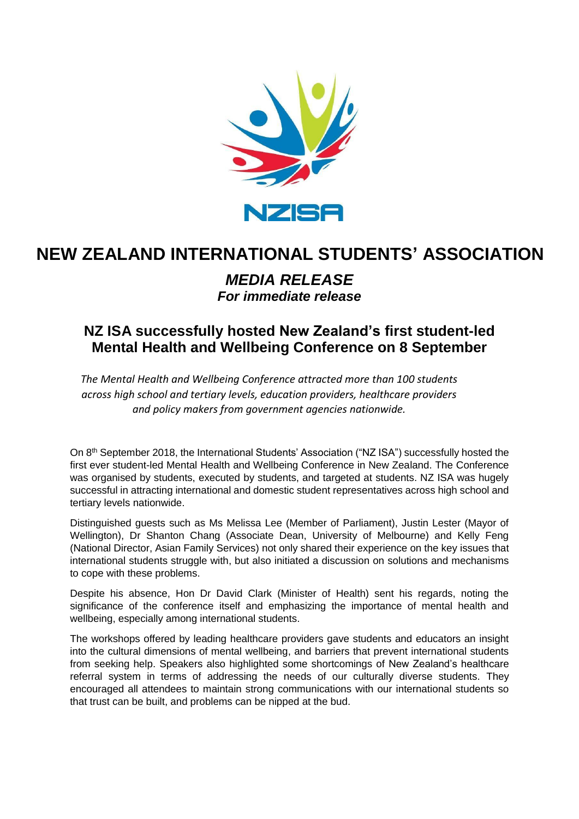

## **NEW ZEALAND INTERNATIONAL STUDENTS' ASSOCIATION**

## *MEDIA RELEASE For immediate release*

## **NZ ISA successfully hosted New Zealand's first student-led Mental Health and Wellbeing Conference on 8 September**

*The Mental Health and Wellbeing Conference attracted more than 100 students across high school and tertiary levels, education providers, healthcare providers and policy makers from government agencies nationwide.* 

On 8th September 2018, the International Students' Association ("NZ ISA") successfully hosted the first ever student-led Mental Health and Wellbeing Conference in New Zealand. The Conference was organised by students, executed by students, and targeted at students. NZ ISA was hugely successful in attracting international and domestic student representatives across high school and tertiary levels nationwide.

Distinguished guests such as Ms Melissa Lee (Member of Parliament), Justin Lester (Mayor of Wellington), Dr Shanton Chang (Associate Dean, University of Melbourne) and Kelly Feng (National Director, Asian Family Services) not only shared their experience on the key issues that international students struggle with, but also initiated a discussion on solutions and mechanisms to cope with these problems.

Despite his absence, Hon Dr David Clark (Minister of Health) sent his regards, noting the significance of the conference itself and emphasizing the importance of mental health and wellbeing, especially among international students.

The workshops offered by leading healthcare providers gave students and educators an insight into the cultural dimensions of mental wellbeing, and barriers that prevent international students from seeking help. Speakers also highlighted some shortcomings of New Zealand's healthcare referral system in terms of addressing the needs of our culturally diverse students. They encouraged all attendees to maintain strong communications with our international students so that trust can be built, and problems can be nipped at the bud.